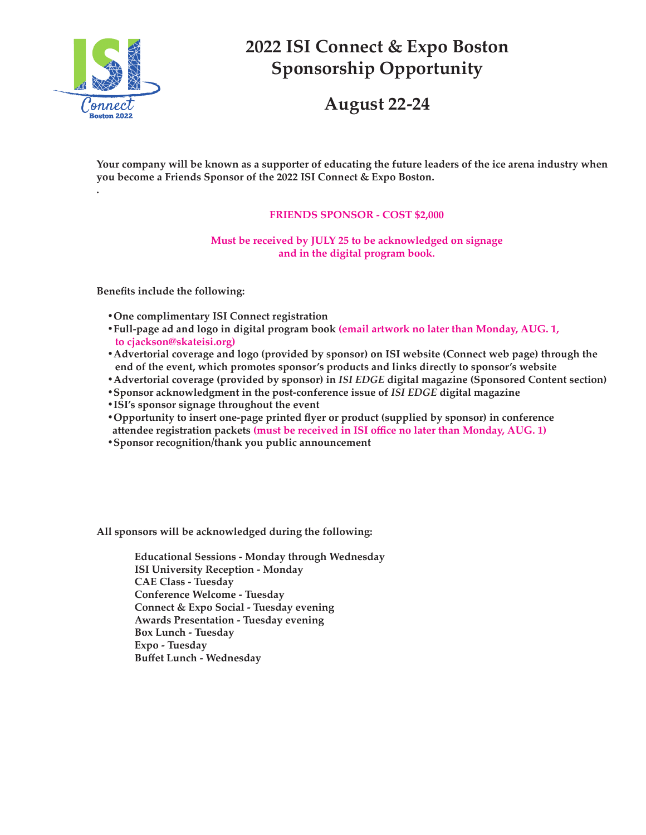

**.**

## **2022 ISI Connect & Expo Boston Sponsorship Opportunity**

**August 22-24**

**Your company will be known as a supporter of educating the future leaders of the ice arena industry when you become a Friends Sponsor of the 2022 ISI Connect & Expo Boston.**

## **FRIENDS SPONSOR - COST \$2,000**

**Must be received by JULY 25 to be acknowledged on signage and in the digital program book.**

**Benefits include the following:**

- **•One complimentary ISI Connect registration**
- **•Full-page ad and logo in digital program book (email artwork no later than Monday, AUG. 1, to cjackson@skateisi.org)**
- **•Advertorial coverage and logo (provided by sponsor) on ISI website (Connect web page) through the end of the event, which promotes sponsor's products and links directly to sponsor's website**
- **•Advertorial coverage (provided by sponsor) in** *ISI EDGE* **digital magazine (Sponsored Content section)**
- **•Sponsor acknowledgment in the post-conference issue of** *ISI EDGE* **digital magazine**
- **•ISI's sponsor signage throughout the event**
- **•Opportunity to insert one-page printed flyer or product (supplied by sponsor) in conference attendee registration packets (must be received in ISI office no later than Monday, AUG. 1)**
- **•Sponsor recognition/thank you public announcement**

**All sponsors will be acknowledged during the following:**

**Educational Sessions - Monday through Wednesday ISI University Reception - Monday CAE Class - Tuesday Conference Welcome - Tuesday Connect & Expo Social - Tuesday evening Awards Presentation - Tuesday evening Box Lunch - Tuesday Expo - Tuesday Buffet Lunch - Wednesday**